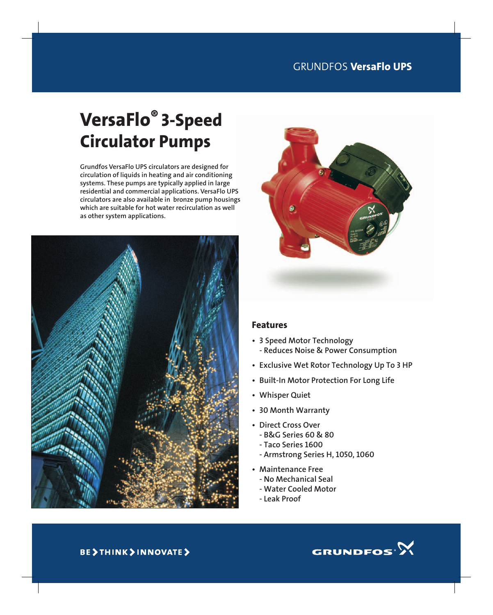# VersaFlo® 3-Speed Circulator Pumps

Grundfos VersaFlo UPS circulators are designed for circulation of liquids in heating and air conditioning systems. These pumps are typically applied in large residential and commercial applications. VersaFlo UPS circulators are also available in bronze pump housings which are suitable for hot water recirculation as well as other system applications.





#### Features

- 3 Speed Motor Technology - Reduces Noise & Power Consumption
- Exclusive Wet Rotor Technology Up To 3 HP
- Built-In Motor Protection For Long Life
- Whisper Quiet
- 30 Month Warranty
- Direct Cross Over
	- B&G Series 60 & 80
	- Taco Series 1600
	- Armstrong Series H, 1050, 1060
- Maintenance Free
	- No Mechanical Seal
	- Water Cooled Motor
	- Leak Proof